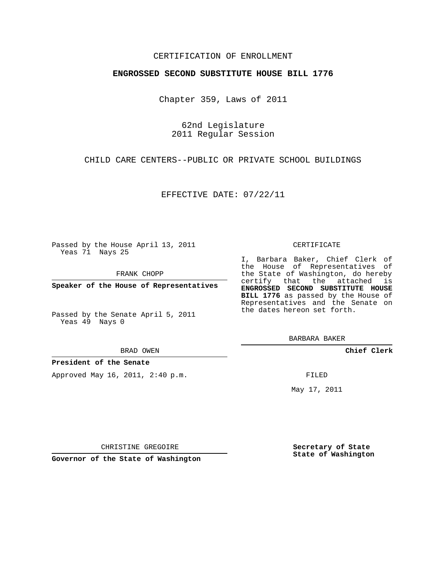## CERTIFICATION OF ENROLLMENT

### **ENGROSSED SECOND SUBSTITUTE HOUSE BILL 1776**

Chapter 359, Laws of 2011

62nd Legislature 2011 Regular Session

CHILD CARE CENTERS--PUBLIC OR PRIVATE SCHOOL BUILDINGS

EFFECTIVE DATE: 07/22/11

Passed by the House April 13, 2011 Yeas 71 Nays 25

FRANK CHOPP

**Speaker of the House of Representatives**

Passed by the Senate April 5, 2011 Yeas 49 Nays 0

BRAD OWEN

**President of the Senate**

Approved May 16, 2011, 2:40 p.m.

#### CERTIFICATE

I, Barbara Baker, Chief Clerk of the House of Representatives of the State of Washington, do hereby certify that the attached is **ENGROSSED SECOND SUBSTITUTE HOUSE BILL 1776** as passed by the House of Representatives and the Senate on the dates hereon set forth.

BARBARA BAKER

**Chief Clerk**

FILED

May 17, 2011

**Secretary of State State of Washington**

CHRISTINE GREGOIRE

**Governor of the State of Washington**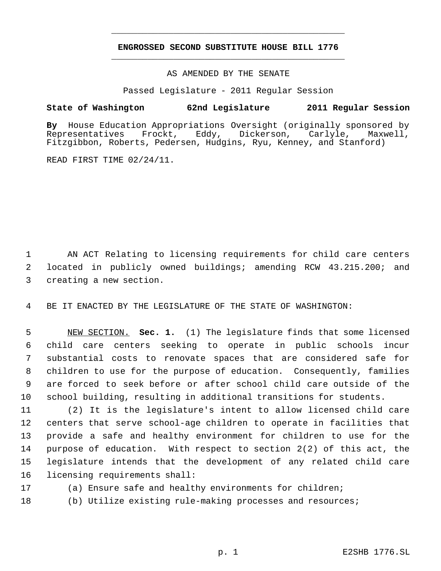# **ENGROSSED SECOND SUBSTITUTE HOUSE BILL 1776** \_\_\_\_\_\_\_\_\_\_\_\_\_\_\_\_\_\_\_\_\_\_\_\_\_\_\_\_\_\_\_\_\_\_\_\_\_\_\_\_\_\_\_\_\_

\_\_\_\_\_\_\_\_\_\_\_\_\_\_\_\_\_\_\_\_\_\_\_\_\_\_\_\_\_\_\_\_\_\_\_\_\_\_\_\_\_\_\_\_\_

AS AMENDED BY THE SENATE

Passed Legislature - 2011 Regular Session

## **State of Washington 62nd Legislature 2011 Regular Session**

By House Education Appropriations Oversight (originally sponsored by Representatives Frockt, Eddy, Dickerson, Carlyle, Maxwell, Representatives Frockt, Eddy, Dickerson, Carlyle, Maxwell, Fitzgibbon, Roberts, Pedersen, Hudgins, Ryu, Kenney, and Stanford)

READ FIRST TIME 02/24/11.

 AN ACT Relating to licensing requirements for child care centers located in publicly owned buildings; amending RCW 43.215.200; and creating a new section.

BE IT ENACTED BY THE LEGISLATURE OF THE STATE OF WASHINGTON:

 NEW SECTION. **Sec. 1.** (1) The legislature finds that some licensed child care centers seeking to operate in public schools incur substantial costs to renovate spaces that are considered safe for children to use for the purpose of education. Consequently, families are forced to seek before or after school child care outside of the school building, resulting in additional transitions for students.

 (2) It is the legislature's intent to allow licensed child care centers that serve school-age children to operate in facilities that provide a safe and healthy environment for children to use for the purpose of education. With respect to section 2(2) of this act, the legislature intends that the development of any related child care licensing requirements shall:

- 
- (a) Ensure safe and healthy environments for children;
- (b) Utilize existing rule-making processes and resources;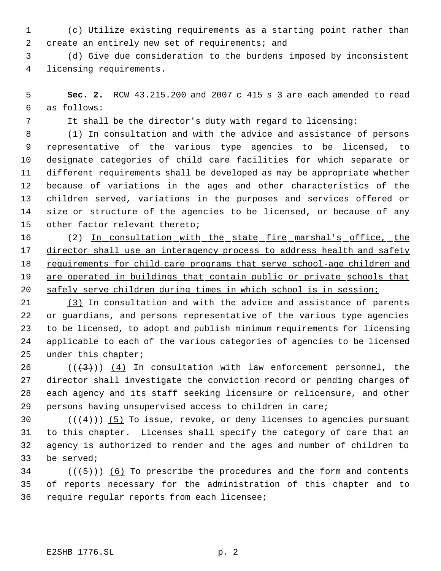(c) Utilize existing requirements as a starting point rather than 2 create an entirely new set of requirements; and

 (d) Give due consideration to the burdens imposed by inconsistent licensing requirements.

 **Sec. 2.** RCW 43.215.200 and 2007 c 415 s 3 are each amended to read as follows:

It shall be the director's duty with regard to licensing:

 (1) In consultation and with the advice and assistance of persons representative of the various type agencies to be licensed, to designate categories of child care facilities for which separate or different requirements shall be developed as may be appropriate whether because of variations in the ages and other characteristics of the children served, variations in the purposes and services offered or size or structure of the agencies to be licensed, or because of any other factor relevant thereto;

16 (2) In consultation with the state fire marshal's office, the 17 director shall use an interagency process to address health and safety 18 requirements for child care programs that serve school-age children and 19 are operated in buildings that contain public or private schools that safely serve children during times in which school is in session;

 (3) In consultation and with the advice and assistance of parents or guardians, and persons representative of the various type agencies to be licensed, to adopt and publish minimum requirements for licensing applicable to each of the various categories of agencies to be licensed under this chapter;

26 ( $(\langle 3 \rangle)$ ) (4) In consultation with law enforcement personnel, the director shall investigate the conviction record or pending charges of each agency and its staff seeking licensure or relicensure, and other persons having unsupervised access to children in care;

 $((\langle 4 \rangle) )$  (5) To issue, revoke, or deny licenses to agencies pursuant to this chapter. Licenses shall specify the category of care that an agency is authorized to render and the ages and number of children to be served;

 (( $\left(\frac{5}{7}\right)$ ) (6) To prescribe the procedures and the form and contents of reports necessary for the administration of this chapter and to require regular reports from each licensee;